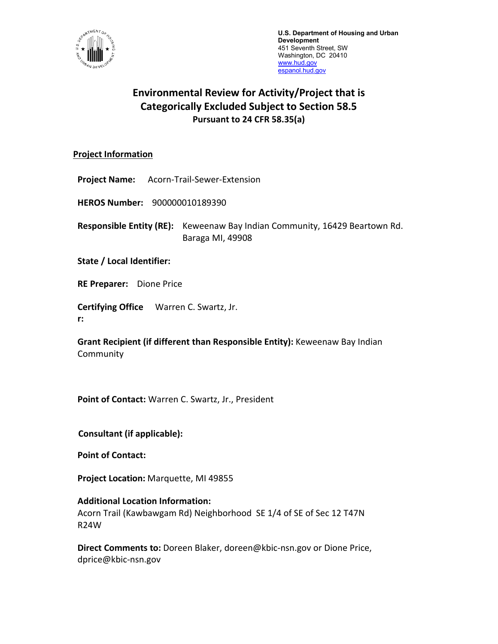

**U.S. Department of Housing and Urban Development** 451 Seventh Street, SW Washington, DC 20410 [www.hud.gov](http://www.hud.gov/)  espanol.hud.gov

# **Environmental Review for Activity/Project that is Categorically Excluded Subject to Section 58.5 Pursuant to 24 CFR 58.35(a)**

## **Project Information**

**Project Name:** Acorn-Trail-Sewer-Extension

**HEROS Number:** 900000010189390

**Responsible Entity (RE):** Keweenaw Bay Indian Community, 16429 Beartown Rd. Baraga MI, 49908

**State / Local Identifier:**

**RE Preparer:** Dione Price

**Certifying Office** Warren C. Swartz, Jr.

**r:**

**Grant Recipient (if different than Responsible Entity):** Keweenaw Bay Indian **Community** 

**Point of Contact:** Warren C. Swartz, Jr., President

**Consultant (if applicable):**

**Point of Contact:** 

**Project Location:** Marquette, MI 49855

**Additional Location Information:** Acorn Trail (Kawbawgam Rd) Neighborhood SE 1/4 of SE of Sec 12 T47N R24W

**Direct Comments to:** Doreen Blaker, doreen@kbic-nsn.gov or Dione Price, dprice@kbic-nsn.gov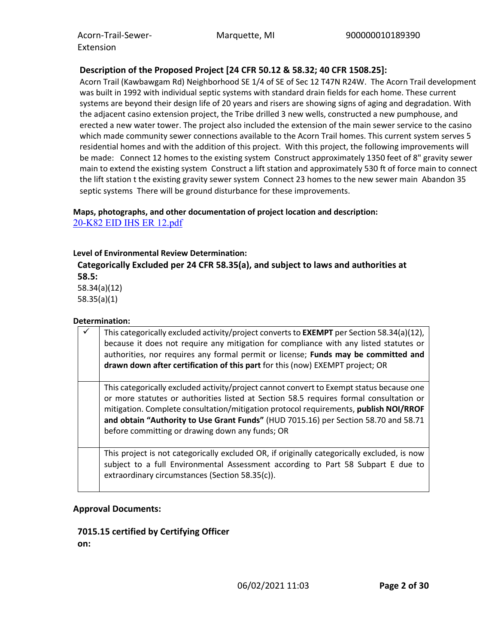## **Description of the Proposed Project [24 CFR 50.12 & 58.32; 40 CFR 1508.25]:**

Acorn Trail (Kawbawgam Rd) Neighborhood SE 1/4 of SE of Sec 12 T47N R24W. The Acorn Trail development was built in 1992 with individual septic systems with standard drain fields for each home. These current systems are beyond their design life of 20 years and risers are showing signs of aging and degradation. With the adjacent casino extension project, the Tribe drilled 3 new wells, constructed a new pumphouse, and erected a new water tower. The project also included the extension of the main sewer service to the casino which made community sewer connections available to the Acorn Trail homes. This current system serves 5 residential homes and with the addition of this project. With this project, the following improvements will be made: Connect 12 homes to the existing system Construct approximately 1350 feet of 8" gravity sewer main to extend the existing system Construct a lift station and approximately 530 ft of force main to connect the lift station t the existing gravity sewer system Connect 23 homes to the new sewer main Abandon 35 septic systems There will be ground disturbance for these improvements.

## **Maps, photographs, and other documentation of project location and description:** [20-K82 EID IHS ER 12.pdf](https://heros.hud.gov/heros/faces/downloadFile.xhtml?erUploadId=900000011003149)

#### **Level of Environmental Review Determination:**

**Categorically Excluded per 24 CFR 58.35(a), and subject to laws and authorities at 58.5:** 

58.34(a)(12) 58.35(a)(1)

#### **Determination:**

| This categorically excluded activity/project converts to EXEMPT per Section 58.34(a)(12),<br>because it does not require any mitigation for compliance with any listed statutes or<br>authorities, nor requires any formal permit or license; Funds may be committed and<br>drawn down after certification of this part for this (now) EXEMPT project; OR                                                            |
|----------------------------------------------------------------------------------------------------------------------------------------------------------------------------------------------------------------------------------------------------------------------------------------------------------------------------------------------------------------------------------------------------------------------|
| This categorically excluded activity/project cannot convert to Exempt status because one<br>or more statutes or authorities listed at Section 58.5 requires formal consultation or<br>mitigation. Complete consultation/mitigation protocol requirements, publish NOI/RROF<br>and obtain "Authority to Use Grant Funds" (HUD 7015.16) per Section 58.70 and 58.71<br>before committing or drawing down any funds; OR |
| This project is not categorically excluded OR, if originally categorically excluded, is now<br>subject to a full Environmental Assessment according to Part 58 Subpart E due to<br>extraordinary circumstances (Section 58.35(c)).                                                                                                                                                                                   |

## **Approval Documents:**

## **7015.15 certified by Certifying Officer**

**on:**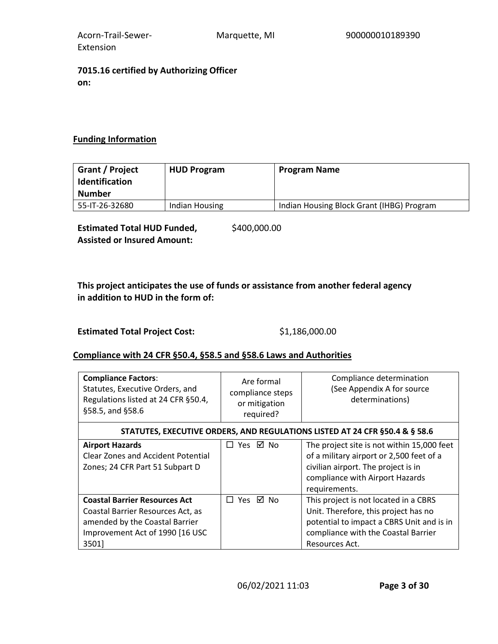Acorn-Trail-Sewer-Extension

## **7015.16 certified by Authorizing Officer on:**

# **Funding Information**

| Grant / Project<br><b>Identification</b><br><b>Number</b> | <b>HUD Program</b> | <b>Program Name</b>                       |
|-----------------------------------------------------------|--------------------|-------------------------------------------|
| 55-IT-26-32680                                            | Indian Housing     | Indian Housing Block Grant (IHBG) Program |

**Estimated Total HUD Funded, Assisted or Insured Amount:**  \$400,000.00

# **This project anticipates the use of funds or assistance from another federal agency in addition to HUD in the form of:**

Estimated Total Project Cost: \$1,186,000.00

## **Compliance with 24 CFR §50.4, §58.5 and §58.6 Laws and Authorities**

| <b>Compliance Factors:</b><br>Statutes, Executive Orders, and<br>Regulations listed at 24 CFR §50.4,<br>§58.5, and §58.6 | Are formal<br>compliance steps<br>or mitigation<br>required? | Compliance determination<br>(See Appendix A for source<br>determinations)       |
|--------------------------------------------------------------------------------------------------------------------------|--------------------------------------------------------------|---------------------------------------------------------------------------------|
|                                                                                                                          |                                                              | STATUTES, EXECUTIVE ORDERS, AND REGULATIONS LISTED AT 24 CFR §50.4 & § 58.6     |
| <b>Airport Hazards</b><br><b>Clear Zones and Accident Potential</b>                                                      | □ Yes ☑ No                                                   | The project site is not within 15,000 feet                                      |
| Zones; 24 CFR Part 51 Subpart D                                                                                          |                                                              | of a military airport or 2,500 feet of a<br>civilian airport. The project is in |
|                                                                                                                          |                                                              | compliance with Airport Hazards<br>requirements.                                |
| <b>Coastal Barrier Resources Act</b>                                                                                     | □ Yes ☑ No                                                   | This project is not located in a CBRS                                           |
| Coastal Barrier Resources Act, as                                                                                        |                                                              | Unit. Therefore, this project has no                                            |
| amended by the Coastal Barrier                                                                                           |                                                              | potential to impact a CBRS Unit and is in                                       |
| Improvement Act of 1990 [16 USC                                                                                          |                                                              | compliance with the Coastal Barrier                                             |
| 3501]                                                                                                                    |                                                              | Resources Act.                                                                  |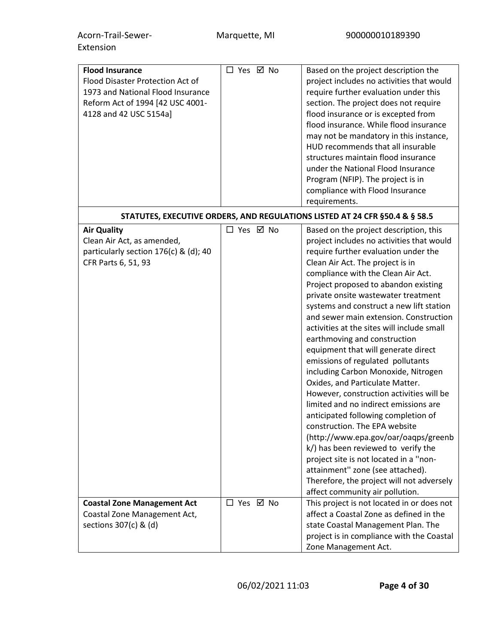| <b>Flood Insurance</b><br>Flood Disaster Protection Act of<br>1973 and National Flood Insurance<br>Reform Act of 1994 [42 USC 4001-<br>4128 and 42 USC 5154a] | □ Yes ☑ No | Based on the project description the<br>project includes no activities that would<br>require further evaluation under this<br>section. The project does not require<br>flood insurance or is excepted from<br>flood insurance. While flood insurance<br>may not be mandatory in this instance,<br>HUD recommends that all insurable                                                                                                                                                                                                                                                                                                                                                                                                                                                                                                                                                                                                                                                                                      |
|---------------------------------------------------------------------------------------------------------------------------------------------------------------|------------|--------------------------------------------------------------------------------------------------------------------------------------------------------------------------------------------------------------------------------------------------------------------------------------------------------------------------------------------------------------------------------------------------------------------------------------------------------------------------------------------------------------------------------------------------------------------------------------------------------------------------------------------------------------------------------------------------------------------------------------------------------------------------------------------------------------------------------------------------------------------------------------------------------------------------------------------------------------------------------------------------------------------------|
|                                                                                                                                                               |            | structures maintain flood insurance<br>under the National Flood Insurance<br>Program (NFIP). The project is in<br>compliance with Flood Insurance<br>requirements.                                                                                                                                                                                                                                                                                                                                                                                                                                                                                                                                                                                                                                                                                                                                                                                                                                                       |
|                                                                                                                                                               |            | STATUTES, EXECUTIVE ORDERS, AND REGULATIONS LISTED AT 24 CFR §50.4 & § 58.5                                                                                                                                                                                                                                                                                                                                                                                                                                                                                                                                                                                                                                                                                                                                                                                                                                                                                                                                              |
| <b>Air Quality</b><br>Clean Air Act, as amended,<br>particularly section 176(c) & (d); 40<br>CFR Parts 6, 51, 93                                              | □ Yes ☑ No | Based on the project description, this<br>project includes no activities that would<br>require further evaluation under the<br>Clean Air Act. The project is in<br>compliance with the Clean Air Act.<br>Project proposed to abandon existing<br>private onsite wastewater treatment<br>systems and construct a new lift station<br>and sewer main extension. Construction<br>activities at the sites will include small<br>earthmoving and construction<br>equipment that will generate direct<br>emissions of regulated pollutants<br>including Carbon Monoxide, Nitrogen<br>Oxides, and Particulate Matter.<br>However, construction activities will be<br>limited and no indirect emissions are<br>anticipated following completion of<br>construction. The EPA website<br>(http://www.epa.gov/oar/oaqps/greenb<br>k/) has been reviewed to verify the<br>project site is not located in a "non-<br>attainment" zone (see attached).<br>Therefore, the project will not adversely<br>affect community air pollution. |
| <b>Coastal Zone Management Act</b><br>Coastal Zone Management Act,<br>sections 307(c) & (d)                                                                   | □ Yes ☑ No | This project is not located in or does not<br>affect a Coastal Zone as defined in the<br>state Coastal Management Plan. The<br>project is in compliance with the Coastal<br>Zone Management Act.                                                                                                                                                                                                                                                                                                                                                                                                                                                                                                                                                                                                                                                                                                                                                                                                                         |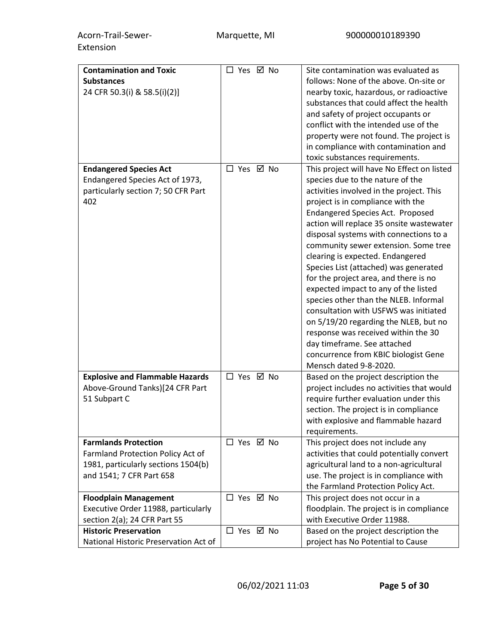| <b>Contamination and Toxic</b>         | □ Yes ☑ No | Site contamination was evaluated as                                                |
|----------------------------------------|------------|------------------------------------------------------------------------------------|
| <b>Substances</b>                      |            | follows: None of the above. On-site or                                             |
|                                        |            |                                                                                    |
| 24 CFR 50.3(i) & 58.5(i)(2)]           |            | nearby toxic, hazardous, or radioactive<br>substances that could affect the health |
|                                        |            |                                                                                    |
|                                        |            | and safety of project occupants or                                                 |
|                                        |            | conflict with the intended use of the                                              |
|                                        |            | property were not found. The project is                                            |
|                                        |            | in compliance with contamination and                                               |
|                                        |            | toxic substances requirements.                                                     |
| <b>Endangered Species Act</b>          | □ Yes ☑ No | This project will have No Effect on listed                                         |
| Endangered Species Act of 1973,        |            | species due to the nature of the                                                   |
| particularly section 7; 50 CFR Part    |            | activities involved in the project. This                                           |
| 402                                    |            | project is in compliance with the                                                  |
|                                        |            | <b>Endangered Species Act. Proposed</b>                                            |
|                                        |            | action will replace 35 onsite wastewater                                           |
|                                        |            | disposal systems with connections to a                                             |
|                                        |            | community sewer extension. Some tree                                               |
|                                        |            | clearing is expected. Endangered                                                   |
|                                        |            | Species List (attached) was generated                                              |
|                                        |            | for the project area, and there is no                                              |
|                                        |            | expected impact to any of the listed                                               |
|                                        |            | species other than the NLEB. Informal                                              |
|                                        |            | consultation with USFWS was initiated                                              |
|                                        |            |                                                                                    |
|                                        |            | on 5/19/20 regarding the NLEB, but no                                              |
|                                        |            | response was received within the 30                                                |
|                                        |            | day timeframe. See attached                                                        |
|                                        |            | concurrence from KBIC biologist Gene                                               |
|                                        |            | Mensch dated 9-8-2020.                                                             |
| <b>Explosive and Flammable Hazards</b> | □ Yes ☑ No | Based on the project description the                                               |
| Above-Ground Tanks)[24 CFR Part        |            | project includes no activities that would                                          |
| 51 Subpart C                           |            | require further evaluation under this                                              |
|                                        |            | section. The project is in compliance                                              |
|                                        |            | with explosive and flammable hazard                                                |
|                                        |            | requirements.                                                                      |
| <b>Farmlands Protection</b>            | □ Yes ☑ No | This project does not include any                                                  |
| Farmland Protection Policy Act of      |            | activities that could potentially convert                                          |
| 1981, particularly sections 1504(b)    |            | agricultural land to a non-agricultural                                            |
| and 1541; 7 CFR Part 658               |            | use. The project is in compliance with                                             |
|                                        |            | the Farmland Protection Policy Act.                                                |
| <b>Floodplain Management</b>           | □ Yes ☑ No | This project does not occur in a                                                   |
| Executive Order 11988, particularly    |            | floodplain. The project is in compliance                                           |
| section 2(a); 24 CFR Part 55           |            | with Executive Order 11988.                                                        |
| <b>Historic Preservation</b>           | □ Yes ☑ No | Based on the project description the                                               |
| National Historic Preservation Act of  |            | project has No Potential to Cause                                                  |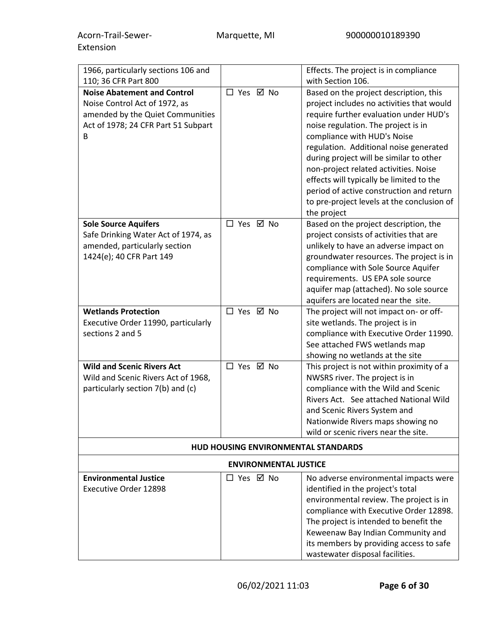| 1966, particularly sections 106 and<br>110; 36 CFR Part 800                                                   |                                     | Effects. The project is in compliance<br>with Section 106.                                                                                                                                                                                     |  |
|---------------------------------------------------------------------------------------------------------------|-------------------------------------|------------------------------------------------------------------------------------------------------------------------------------------------------------------------------------------------------------------------------------------------|--|
| <b>Noise Abatement and Control</b>                                                                            | □ Yes ☑ No                          | Based on the project description, this                                                                                                                                                                                                         |  |
| Noise Control Act of 1972, as<br>amended by the Quiet Communities<br>Act of 1978; 24 CFR Part 51 Subpart<br>B |                                     | project includes no activities that would<br>require further evaluation under HUD's<br>noise regulation. The project is in<br>compliance with HUD's Noise<br>regulation. Additional noise generated<br>during project will be similar to other |  |
|                                                                                                               |                                     | non-project related activities. Noise<br>effects will typically be limited to the<br>period of active construction and return<br>to pre-project levels at the conclusion of<br>the project                                                     |  |
| <b>Sole Source Aquifers</b>                                                                                   | □ Yes ☑ No                          | Based on the project description, the                                                                                                                                                                                                          |  |
| Safe Drinking Water Act of 1974, as                                                                           |                                     | project consists of activities that are                                                                                                                                                                                                        |  |
| amended, particularly section                                                                                 |                                     | unlikely to have an adverse impact on                                                                                                                                                                                                          |  |
| 1424(e); 40 CFR Part 149                                                                                      |                                     | groundwater resources. The project is in                                                                                                                                                                                                       |  |
|                                                                                                               |                                     | compliance with Sole Source Aquifer<br>requirements. US EPA sole source                                                                                                                                                                        |  |
|                                                                                                               |                                     | aquifer map (attached). No sole source                                                                                                                                                                                                         |  |
|                                                                                                               |                                     | aquifers are located near the site.                                                                                                                                                                                                            |  |
| <b>Wetlands Protection</b>                                                                                    | □ Yes ☑ No                          | The project will not impact on- or off-                                                                                                                                                                                                        |  |
| Executive Order 11990, particularly                                                                           |                                     | site wetlands. The project is in                                                                                                                                                                                                               |  |
| sections 2 and 5                                                                                              |                                     | compliance with Executive Order 11990.                                                                                                                                                                                                         |  |
|                                                                                                               |                                     | See attached FWS wetlands map                                                                                                                                                                                                                  |  |
|                                                                                                               |                                     | showing no wetlands at the site                                                                                                                                                                                                                |  |
| <b>Wild and Scenic Rivers Act</b>                                                                             | □ Yes ☑ No                          | This project is not within proximity of a                                                                                                                                                                                                      |  |
| Wild and Scenic Rivers Act of 1968,<br>particularly section 7(b) and (c)                                      |                                     | NWSRS river. The project is in<br>compliance with the Wild and Scenic                                                                                                                                                                          |  |
|                                                                                                               |                                     | Rivers Act. See attached National Wild                                                                                                                                                                                                         |  |
|                                                                                                               |                                     | and Scenic Rivers System and                                                                                                                                                                                                                   |  |
|                                                                                                               |                                     | Nationwide Rivers maps showing no                                                                                                                                                                                                              |  |
|                                                                                                               |                                     | wild or scenic rivers near the site.                                                                                                                                                                                                           |  |
|                                                                                                               | HUD HOUSING ENVIRONMENTAL STANDARDS |                                                                                                                                                                                                                                                |  |
| <b>ENVIRONMENTAL JUSTICE</b>                                                                                  |                                     |                                                                                                                                                                                                                                                |  |
| <b>Environmental Justice</b>                                                                                  | □ Yes ☑ No                          | No adverse environmental impacts were                                                                                                                                                                                                          |  |
| Executive Order 12898                                                                                         |                                     | identified in the project's total                                                                                                                                                                                                              |  |
|                                                                                                               |                                     | environmental review. The project is in                                                                                                                                                                                                        |  |
|                                                                                                               |                                     | compliance with Executive Order 12898.                                                                                                                                                                                                         |  |
|                                                                                                               |                                     | The project is intended to benefit the                                                                                                                                                                                                         |  |
|                                                                                                               |                                     | Keweenaw Bay Indian Community and<br>its members by providing access to safe                                                                                                                                                                   |  |
|                                                                                                               |                                     | wastewater disposal facilities.                                                                                                                                                                                                                |  |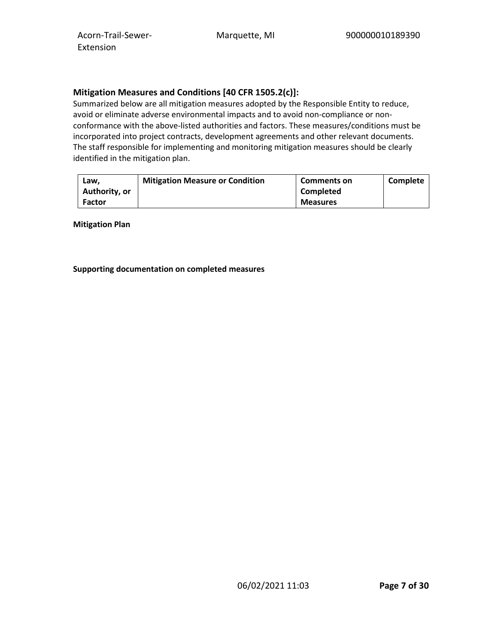## **Mitigation Measures and Conditions [40 CFR 1505.2(c)]:**

Summarized below are all mitigation measures adopted by the Responsible Entity to reduce, avoid or eliminate adverse environmental impacts and to avoid non-compliance or nonconformance with the above-listed authorities and factors. These measures/conditions must be incorporated into project contracts, development agreements and other relevant documents. The staff responsible for implementing and monitoring mitigation measures should be clearly identified in the mitigation plan.

| Law.          | <b>Mitigation Measure or Condition</b> | <b>Comments on</b> | Complete |
|---------------|----------------------------------------|--------------------|----------|
| Authority, or |                                        | <b>Completed</b>   |          |
| <b>Factor</b> |                                        | <b>Measures</b>    |          |

**Mitigation Plan**

**Supporting documentation on completed measures**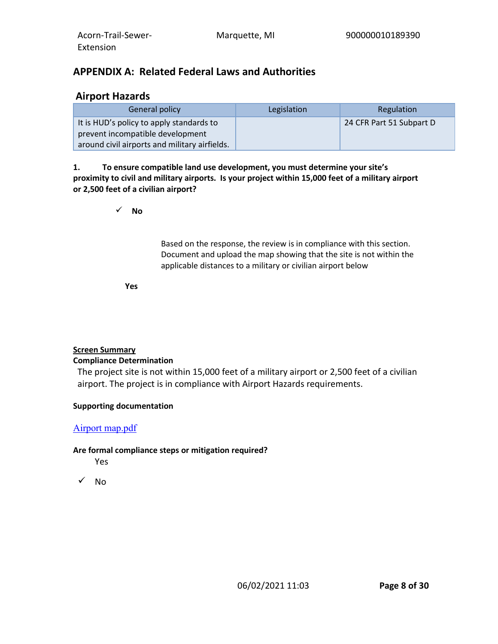# **APPENDIX A: Related Federal Laws and Authorities**

# **Airport Hazards**

| General policy                                | Legislation | Regulation               |
|-----------------------------------------------|-------------|--------------------------|
| It is HUD's policy to apply standards to      |             | 24 CFR Part 51 Subpart D |
| prevent incompatible development              |             |                          |
| around civil airports and military airfields. |             |                          |

**1. To ensure compatible land use development, you must determine your site's proximity to civil and military airports. Is your project within 15,000 feet of a military airport or 2,500 feet of a civilian airport?**

**No**

Based on the response, the review is in compliance with this section. Document and upload the map showing that the site is not within the applicable distances to a military or civilian airport below

**Yes**

## **Screen Summary**

## **Compliance Determination**

The project site is not within 15,000 feet of a military airport or 2,500 feet of a civilian airport. The project is in compliance with Airport Hazards requirements.

## **Supporting documentation**

## [Airport map.pdf](https://heros.hud.gov/heros/faces/downloadFile.xhtml?erUploadId=900000011003785)

## **Are formal compliance steps or mitigation required?**

Yes

 $\sqrt{N}$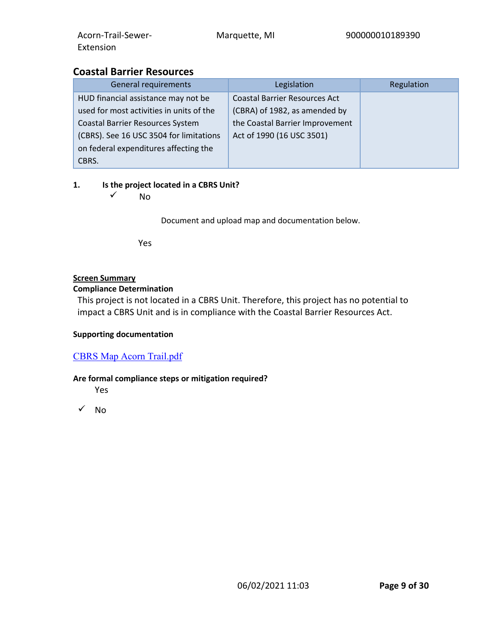# **Coastal Barrier Resources**

| <b>General requirements</b>              | Legislation                          | Regulation |
|------------------------------------------|--------------------------------------|------------|
| HUD financial assistance may not be      | <b>Coastal Barrier Resources Act</b> |            |
| used for most activities in units of the | (CBRA) of 1982, as amended by        |            |
| Coastal Barrier Resources System         | the Coastal Barrier Improvement      |            |
| (CBRS). See 16 USC 3504 for limitations  | Act of 1990 (16 USC 3501)            |            |
| on federal expenditures affecting the    |                                      |            |
| CBRS.                                    |                                      |            |

## **1. Is the project located in a CBRS Unit?**

 $\sqrt{ }$  No

Document and upload map and documentation below.

Yes

## **Screen Summary**

#### **Compliance Determination**

This project is not located in a CBRS Unit. Therefore, this project has no potential to impact a CBRS Unit and is in compliance with the Coastal Barrier Resources Act.

## **Supporting documentation**

## [CBRS Map Acorn Trail.pdf](https://heros.hud.gov/heros/faces/downloadFile.xhtml?erUploadId=900000011003806)

## **Are formal compliance steps or mitigation required?**

Yes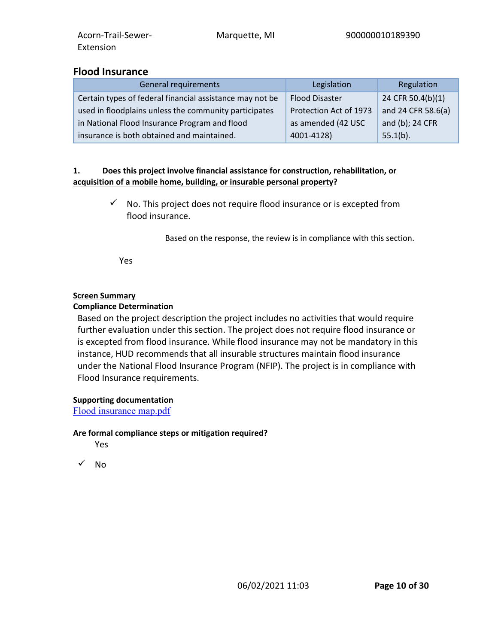## **Flood Insurance**

| General requirements                                     | Legislation            | Regulation         |
|----------------------------------------------------------|------------------------|--------------------|
| Certain types of federal financial assistance may not be | <b>Flood Disaster</b>  | 24 CFR 50.4(b)(1)  |
| used in floodplains unless the community participates    | Protection Act of 1973 | and 24 CFR 58.6(a) |
| in National Flood Insurance Program and flood            | as amended (42 USC     | and (b); 24 CFR    |
| insurance is both obtained and maintained.               | 4001-4128)             | $55.1(b)$ .        |

#### **1. Does this project involve financial assistance for construction, rehabilitation, or acquisition of a mobile home, building, or insurable personal property?**

 $\checkmark$  No. This project does not require flood insurance or is excepted from flood insurance.

Based on the response, the review is in compliance with this section.

Yes

## **Screen Summary**

## **Compliance Determination**

Based on the project description the project includes no activities that would require further evaluation under this section. The project does not require flood insurance or is excepted from flood insurance. While flood insurance may not be mandatory in this instance, HUD recommends that all insurable structures maintain flood insurance under the National Flood Insurance Program (NFIP). The project is in compliance with Flood Insurance requirements.

## **Supporting documentation**

[Flood insurance map.pdf](https://heros.hud.gov/heros/faces/downloadFile.xhtml?erUploadId=900000011003818)

#### **Are formal compliance steps or mitigation required?**

Yes

 $\sqrt{N_0}$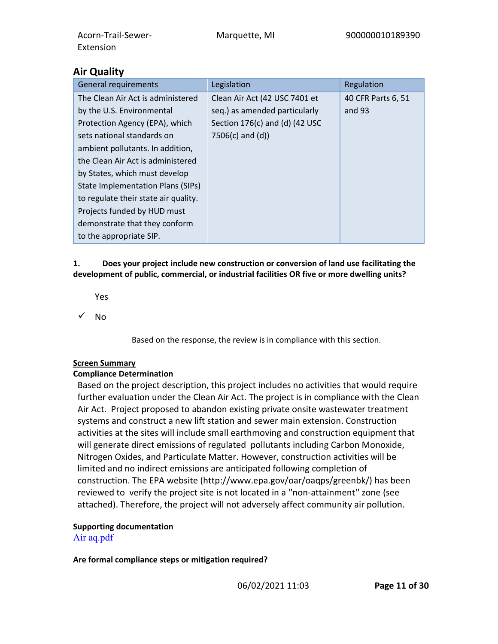| <b>General requirements</b>              | Legislation                      | Regulation         |
|------------------------------------------|----------------------------------|--------------------|
| The Clean Air Act is administered        | Clean Air Act (42 USC 7401 et    | 40 CFR Parts 6, 51 |
| by the U.S. Environmental                | seq.) as amended particularly    | and 93             |
| Protection Agency (EPA), which           | Section $176(c)$ and (d) (42 USC |                    |
| sets national standards on               | $7506(c)$ and $(d)$              |                    |
| ambient pollutants. In addition,         |                                  |                    |
| the Clean Air Act is administered        |                                  |                    |
| by States, which must develop            |                                  |                    |
| <b>State Implementation Plans (SIPs)</b> |                                  |                    |
| to regulate their state air quality.     |                                  |                    |
| Projects funded by HUD must              |                                  |                    |
| demonstrate that they conform            |                                  |                    |
| to the appropriate SIP.                  |                                  |                    |

## **1. Does your project include new construction or conversion of land use facilitating the development of public, commercial, or industrial facilities OR five or more dwelling units?**

Yes

 $\sqrt{N}$ 

Based on the response, the review is in compliance with this section.

# **Screen Summary**

# **Compliance Determination**

Based on the project description, this project includes no activities that would require further evaluation under the Clean Air Act. The project is in compliance with the Clean Air Act. Project proposed to abandon existing private onsite wastewater treatment systems and construct a new lift station and sewer main extension. Construction activities at the sites will include small earthmoving and construction equipment that will generate direct emissions of regulated pollutants including Carbon Monoxide, Nitrogen Oxides, and Particulate Matter. However, construction activities will be limited and no indirect emissions are anticipated following completion of construction. The EPA website (http://www.epa.gov/oar/oaqps/greenbk/) has been reviewed to verify the project site is not located in a ''non-attainment'' zone (see attached). Therefore, the project will not adversely affect community air pollution.

# **Supporting documentation**

[Air aq.pdf](https://heros.hud.gov/heros/faces/downloadFile.xhtml?erUploadId=900000011003709)

**Are formal compliance steps or mitigation required?**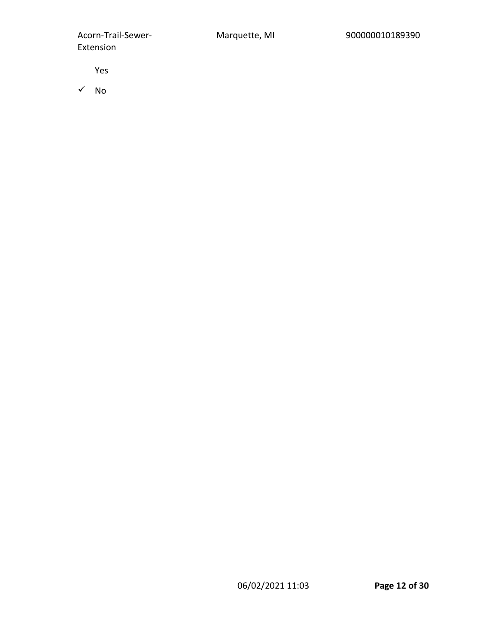Yes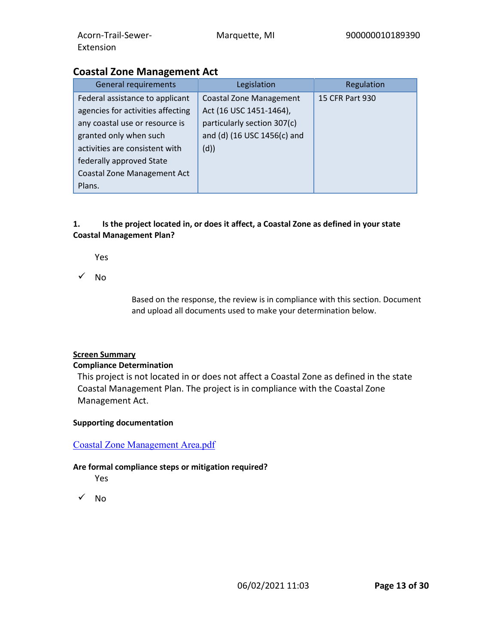# **Coastal Zone Management Act**

| General requirements               | Legislation                    | Regulation      |
|------------------------------------|--------------------------------|-----------------|
| Federal assistance to applicant    | <b>Coastal Zone Management</b> | 15 CFR Part 930 |
| agencies for activities affecting  | Act (16 USC 1451-1464),        |                 |
| any coastal use or resource is     | particularly section 307(c)    |                 |
| granted only when such             | and (d) (16 USC 1456(c) and    |                 |
| activities are consistent with     | (d)                            |                 |
| federally approved State           |                                |                 |
| <b>Coastal Zone Management Act</b> |                                |                 |
| Plans.                             |                                |                 |

## **1. Is the project located in, or does it affect, a Coastal Zone as defined in your state Coastal Management Plan?**

Yes

 $\checkmark$  No

Based on the response, the review is in compliance with this section. Document and upload all documents used to make your determination below.

#### **Screen Summary**

#### **Compliance Determination**

This project is not located in or does not affect a Coastal Zone as defined in the state Coastal Management Plan. The project is in compliance with the Coastal Zone Management Act.

#### **Supporting documentation**

#### [Coastal Zone Management Area.pdf](https://heros.hud.gov/heros/faces/downloadFile.xhtml?erUploadId=900000011003212)

#### **Are formal compliance steps or mitigation required?**

- Yes
- $\sqrt{N_0}$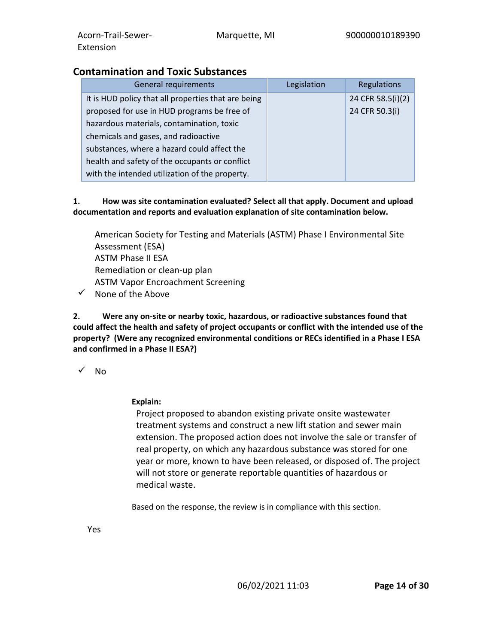# **Contamination and Toxic Substances**

| <b>General requirements</b>                         | Legislation | Regulations       |
|-----------------------------------------------------|-------------|-------------------|
| It is HUD policy that all properties that are being |             | 24 CFR 58.5(i)(2) |
| proposed for use in HUD programs be free of         |             | 24 CFR 50.3(i)    |
| hazardous materials, contamination, toxic           |             |                   |
| chemicals and gases, and radioactive                |             |                   |
| substances, where a hazard could affect the         |             |                   |
| health and safety of the occupants or conflict      |             |                   |
| with the intended utilization of the property.      |             |                   |

## **1. How was site contamination evaluated? Select all that apply. Document and upload documentation and reports and evaluation explanation of site contamination below.**

American Society for Testing and Materials (ASTM) Phase I Environmental Site Assessment (ESA) ASTM Phase II ESA Remediation or clean-up plan ASTM Vapor Encroachment Screening  $\checkmark$  None of the Above

**2. Were any on-site or nearby toxic, hazardous, or radioactive substances found that could affect the health and safety of project occupants or conflict with the intended use of the property? (Were any recognized environmental conditions or RECs identified in a Phase I ESA and confirmed in a Phase II ESA?)**

 $\sqrt{N_0}$ 

**Explain:**

Project proposed to abandon existing private onsite wastewater treatment systems and construct a new lift station and sewer main extension. The proposed action does not involve the sale or transfer of real property, on which any hazardous substance was stored for one year or more, known to have been released, or disposed of. The project will not store or generate reportable quantities of hazardous or medical waste.

Based on the response, the review is in compliance with this section.

Yes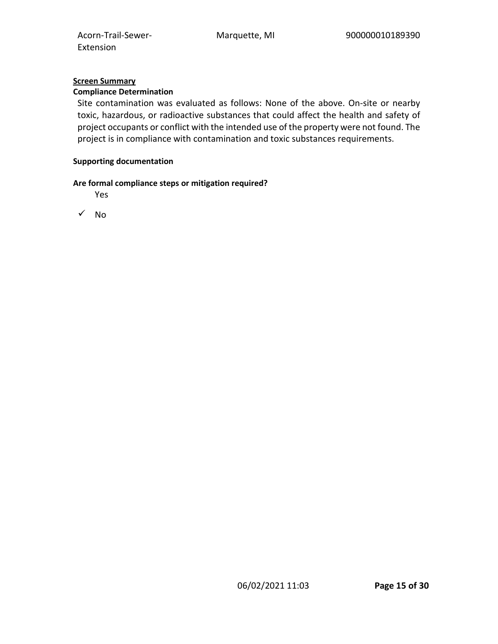## **Screen Summary**

## **Compliance Determination**

Site contamination was evaluated as follows: None of the above. On-site or nearby toxic, hazardous, or radioactive substances that could affect the health and safety of project occupants or conflict with the intended use of the property were not found. The project is in compliance with contamination and toxic substances requirements.

#### **Supporting documentation**

#### **Are formal compliance steps or mitigation required?**

Yes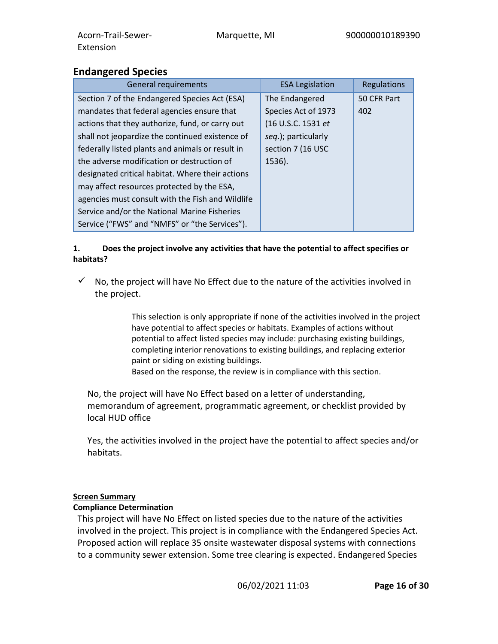# **Endangered Species**

| <b>General requirements</b>                      | <b>ESA Legislation</b> | Regulations |
|--------------------------------------------------|------------------------|-------------|
| Section 7 of the Endangered Species Act (ESA)    | The Endangered         | 50 CFR Part |
| mandates that federal agencies ensure that       | Species Act of 1973    | 402         |
| actions that they authorize, fund, or carry out  | (16 U.S.C. 1531 et     |             |
| shall not jeopardize the continued existence of  | seq.); particularly    |             |
| federally listed plants and animals or result in | section 7 (16 USC      |             |
| the adverse modification or destruction of       | 1536).                 |             |
| designated critical habitat. Where their actions |                        |             |
| may affect resources protected by the ESA,       |                        |             |
| agencies must consult with the Fish and Wildlife |                        |             |
| Service and/or the National Marine Fisheries     |                        |             |
| Service ("FWS" and "NMFS" or "the Services").    |                        |             |

## **1. Does the project involve any activities that have the potential to affect specifies or habitats?**

 $\checkmark$  No, the project will have No Effect due to the nature of the activities involved in the project.

> This selection is only appropriate if none of the activities involved in the project have potential to affect species or habitats. Examples of actions without potential to affect listed species may include: purchasing existing buildings, completing interior renovations to existing buildings, and replacing exterior paint or siding on existing buildings.

Based on the response, the review is in compliance with this section.

No, the project will have No Effect based on a letter of understanding, memorandum of agreement, programmatic agreement, or checklist provided by local HUD office

Yes, the activities involved in the project have the potential to affect species and/or habitats.

## **Screen Summary**

## **Compliance Determination**

This project will have No Effect on listed species due to the nature of the activities involved in the project. This project is in compliance with the Endangered Species Act. Proposed action will replace 35 onsite wastewater disposal systems with connections to a community sewer extension. Some tree clearing is expected. Endangered Species

06/02/2021 11:03 **Page 16 of 30**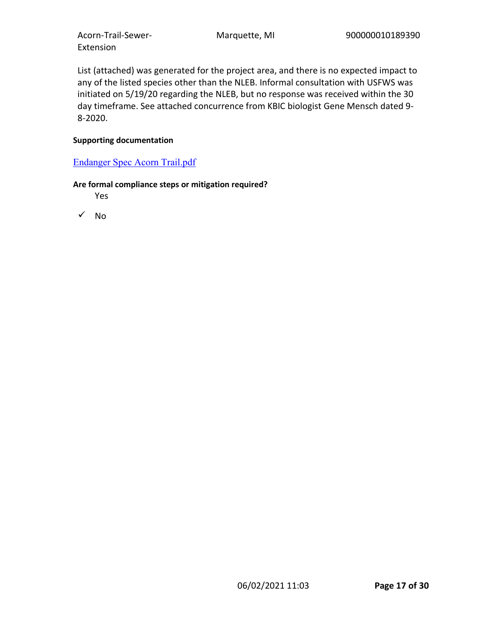List (attached) was generated for the project area, and there is no expected impact to any of the listed species other than the NLEB. Informal consultation with USFWS was initiated on 5/19/20 regarding the NLEB, but no response was received within the 30 day timeframe. See attached concurrence from KBIC biologist Gene Mensch dated 9- 8-2020.

#### **Supporting documentation**

## [Endanger Spec Acorn Trail.pdf](https://heros.hud.gov/heros/faces/downloadFile.xhtml?erUploadId=900000011003602)

#### **Are formal compliance steps or mitigation required?**

Yes

 $\sqrt{N}$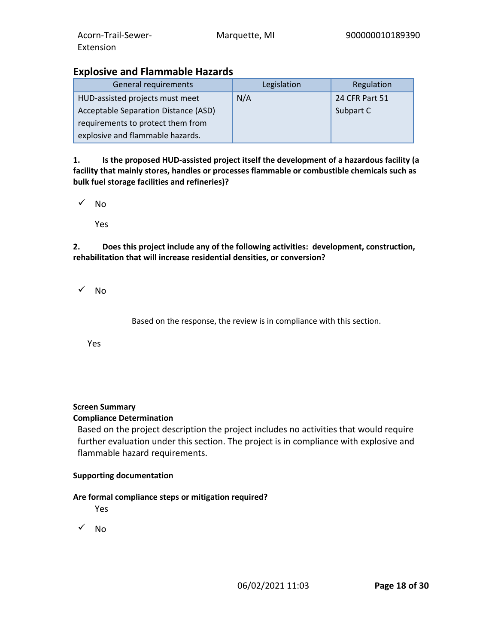# **Explosive and Flammable Hazards**

| General requirements                 | Legislation | Regulation     |
|--------------------------------------|-------------|----------------|
| HUD-assisted projects must meet      | N/A         | 24 CFR Part 51 |
| Acceptable Separation Distance (ASD) |             | Subpart C      |
| requirements to protect them from    |             |                |
| explosive and flammable hazards.     |             |                |

**1. Is the proposed HUD-assisted project itself the development of a hazardous facility (a facility that mainly stores, handles or processes flammable or combustible chemicals such as bulk fuel storage facilities and refineries)?**

 $\sqrt{N}$ 

Yes

**2. Does this project include any of the following activities: development, construction, rehabilitation that will increase residential densities, or conversion?**

 $\checkmark$  No

Based on the response, the review is in compliance with this section.

Yes

## **Screen Summary**

## **Compliance Determination**

Based on the project description the project includes no activities that would require further evaluation under this section. The project is in compliance with explosive and flammable hazard requirements.

#### **Supporting documentation**

## **Are formal compliance steps or mitigation required?**

Yes

 $\sqrt{N_0}$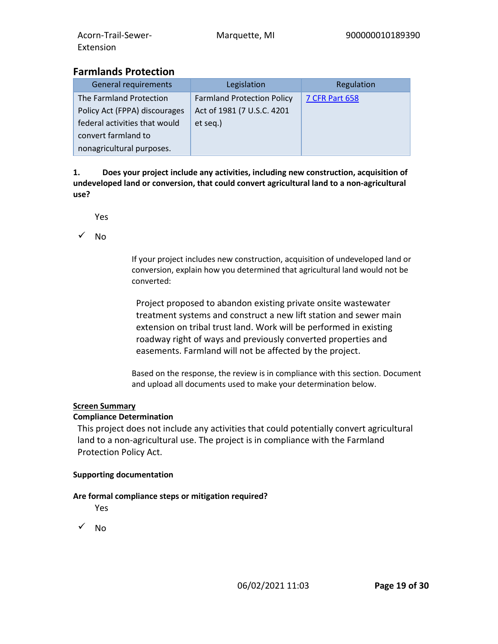# **Farmlands Protection**

| <b>General requirements</b>   | Legislation                       | Regulation            |
|-------------------------------|-----------------------------------|-----------------------|
| The Farmland Protection       | <b>Farmland Protection Policy</b> | <b>7 CFR Part 658</b> |
| Policy Act (FPPA) discourages | Act of 1981 (7 U.S.C. 4201        |                       |
| federal activities that would | et seq.)                          |                       |
| convert farmland to           |                                   |                       |
| nonagricultural purposes.     |                                   |                       |

**1. Does your project include any activities, including new construction, acquisition of undeveloped land or conversion, that could convert agricultural land to a non-agricultural use?**

Yes

 $\sqrt{N_0}$ 

If your project includes new construction, acquisition of undeveloped land or conversion, explain how you determined that agricultural land would not be converted:

Project proposed to abandon existing private onsite wastewater treatment systems and construct a new lift station and sewer main extension on tribal trust land. Work will be performed in existing roadway right of ways and previously converted properties and easements. Farmland will not be affected by the project.

Based on the response, the review is in compliance with this section. Document and upload all documents used to make your determination below.

## **Screen Summary**

#### **Compliance Determination**

This project does not include any activities that could potentially convert agricultural land to a non-agricultural use. The project is in compliance with the Farmland Protection Policy Act.

#### **Supporting documentation**

## **Are formal compliance steps or mitigation required?**

Yes

 $\sqrt{N}$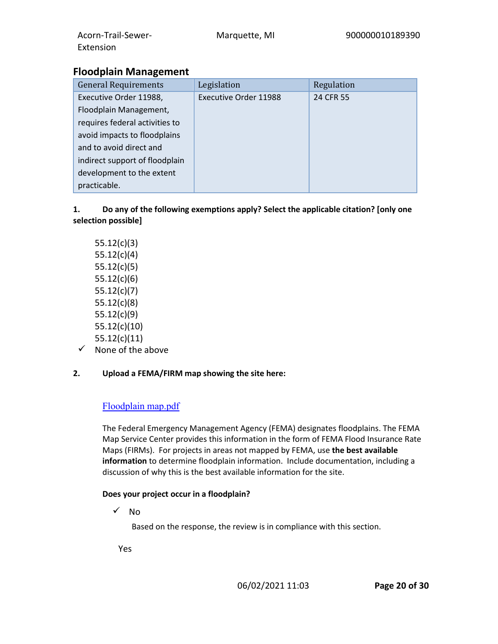| requires federal activities to |  |
|--------------------------------|--|
| avoid impacts to floodplains   |  |
| and to avoid direct and        |  |
| indirect support of floodplain |  |
| development to the extent      |  |
| practicable.                   |  |

## **1. Do any of the following exemptions apply? Select the applicable citation? [only one selection possible]**

- 55.12(c)(3) 55.12(c)(4) 55.12(c)(5) 55.12(c)(6) 55.12(c)(7) 55.12(c)(8) 55.12(c)(9) 55.12(c)(10) 55.12(c)(11)
- $\checkmark$  None of the above
- **2. Upload a FEMA/FIRM map showing the site here:**

# [Floodplain map.pdf](https://heros.hud.gov/heros/faces/downloadFile.xhtml?erUploadId=900000011003642)

The Federal Emergency Management Agency (FEMA) designates floodplains. The FEMA Map Service Center provides this information in the form of FEMA Flood Insurance Rate Maps (FIRMs). For projects in areas not mapped by FEMA, use **the best available information** to determine floodplain information. Include documentation, including a discussion of why this is the best available information for the site.

## **Does your project occur in a floodplain?**

 $\checkmark$  No

Based on the response, the review is in compliance with this section.

Yes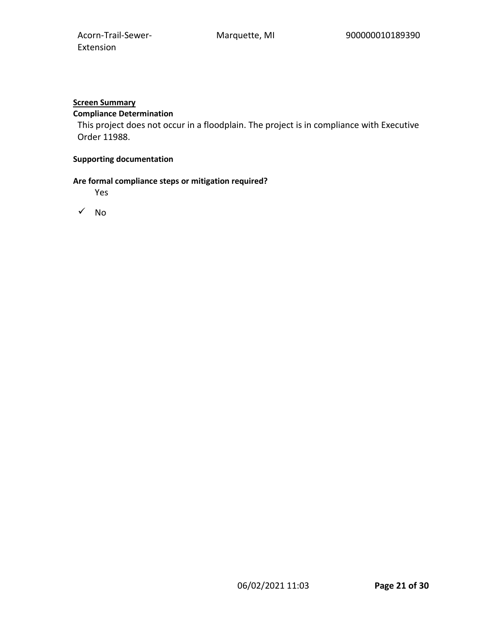# **Screen Summary**

# **Compliance Determination**

This project does not occur in a floodplain. The project is in compliance with Executive Order 11988.

#### **Supporting documentation**

#### **Are formal compliance steps or mitigation required?**

Yes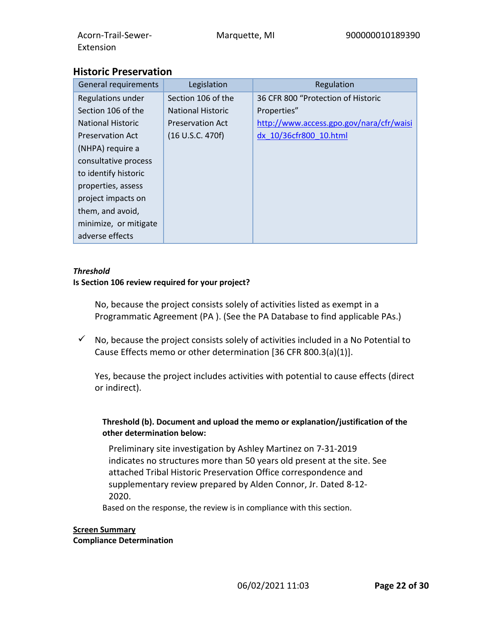| Acorn-Trail-Sewer-<br>Extension | Marquette, MI            | 900000010189390                          |
|---------------------------------|--------------------------|------------------------------------------|
| <b>Historic Preservation</b>    |                          |                                          |
| General requirements            | Legislation              | Regulation                               |
| Regulations under               | Section 106 of the       | 36 CFR 800 "Protection of Historic       |
| Section 106 of the              | <b>National Historic</b> | Properties"                              |
| <b>National Historic</b>        | <b>Preservation Act</b>  | http://www.access.gpo.gov/nara/cfr/waisi |
| <b>Preservation Act</b>         | (16 U.S.C. 470f)         | dx 10/36cfr800 10.html                   |
| (NHPA) require a                |                          |                                          |

#### *Threshold*

adverse effects

consultative process to identify historic properties, assess project impacts on them, and avoid, minimize, or mitigate

#### **Is Section 106 review required for your project?**

No, because the project consists solely of activities listed as exempt in a Programmatic Agreement (PA ). (See the PA Database to find applicable PAs.)

 $\checkmark$  No, because the project consists solely of activities included in a No Potential to Cause Effects memo or other determination [36 CFR 800.3(a)(1)].

Yes, because the project includes activities with potential to cause effects (direct or indirect).

#### **Threshold (b). Document and upload the memo or explanation/justification of the other determination below:**

Preliminary site investigation by Ashley Martinez on 7-31-2019 indicates no structures more than 50 years old present at the site. See attached Tribal Historic Preservation Office correspondence and supplementary review prepared by Alden Connor, Jr. Dated 8-12- 2020.

Based on the response, the review is in compliance with this section.

## **Screen Summary Compliance Determination**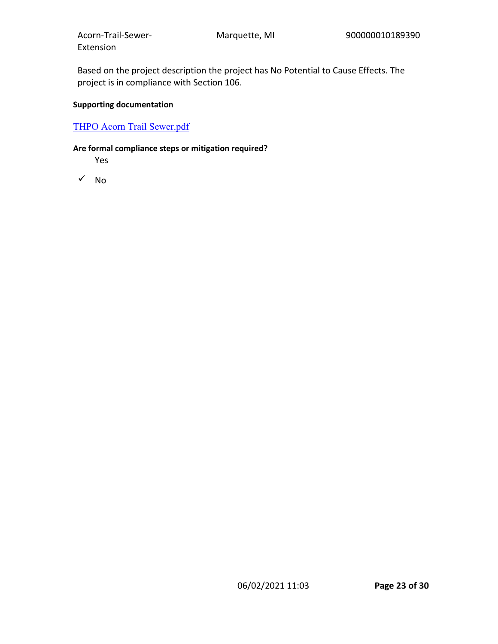Based on the project description the project has No Potential to Cause Effects. The project is in compliance with Section 106.

## **Supporting documentation**

## [THPO Acorn Trail Sewer.pdf](https://heros.hud.gov/heros/faces/downloadFile.xhtml?erUploadId=900000011003597)

#### **Are formal compliance steps or mitigation required?**

Yes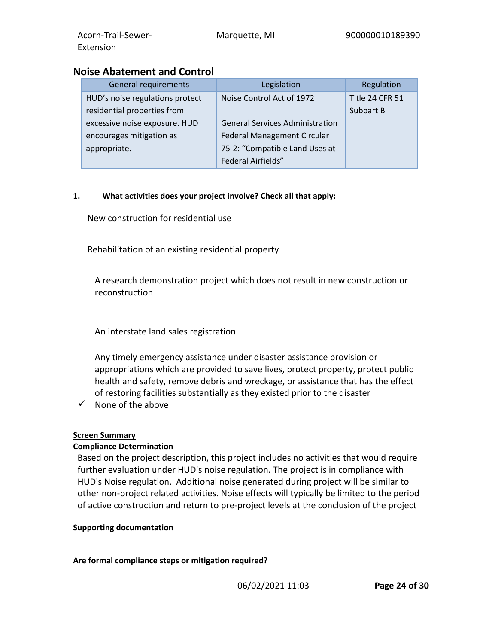# **Noise Abatement and Control**

| General requirements            | Legislation                            | Regulation      |
|---------------------------------|----------------------------------------|-----------------|
| HUD's noise regulations protect | Noise Control Act of 1972              | Title 24 CFR 51 |
| residential properties from     |                                        | Subpart B       |
| excessive noise exposure. HUD   | <b>General Services Administration</b> |                 |
| encourages mitigation as        | <b>Federal Management Circular</b>     |                 |
| appropriate.                    | 75-2: "Compatible Land Uses at         |                 |
|                                 | Federal Airfields"                     |                 |

## **1. What activities does your project involve? Check all that apply:**

New construction for residential use

Rehabilitation of an existing residential property

A research demonstration project which does not result in new construction or reconstruction

An interstate land sales registration

Any timely emergency assistance under disaster assistance provision or appropriations which are provided to save lives, protect property, protect public health and safety, remove debris and wreckage, or assistance that has the effect of restoring facilities substantially as they existed prior to the disaster

 $\checkmark$  None of the above

## **Screen Summary**

## **Compliance Determination**

Based on the project description, this project includes no activities that would require further evaluation under HUD's noise regulation. The project is in compliance with HUD's Noise regulation. Additional noise generated during project will be similar to other non-project related activities. Noise effects will typically be limited to the period of active construction and return to pre-project levels at the conclusion of the project

## **Supporting documentation**

## **Are formal compliance steps or mitigation required?**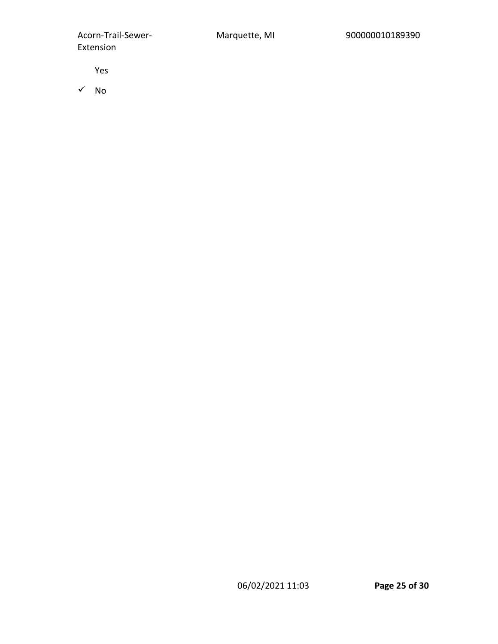Yes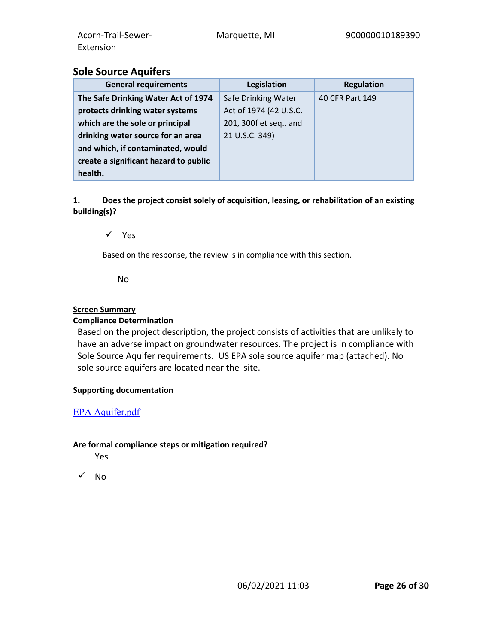# **Sole Source Aquifers**

| <b>General requirements</b>           | Legislation            | <b>Regulation</b> |
|---------------------------------------|------------------------|-------------------|
| The Safe Drinking Water Act of 1974   | Safe Drinking Water    | 40 CFR Part 149   |
| protects drinking water systems       | Act of 1974 (42 U.S.C. |                   |
| which are the sole or principal       | 201, 300f et seq., and |                   |
| drinking water source for an area     | 21 U.S.C. 349)         |                   |
| and which, if contaminated, would     |                        |                   |
| create a significant hazard to public |                        |                   |
| health.                               |                        |                   |

**1. Does the project consist solely of acquisition, leasing, or rehabilitation of an existing building(s)?**

 $\sqrt{ }$  Yes

Based on the response, the review is in compliance with this section.

No

#### **Screen Summary**

#### **Compliance Determination**

Based on the project description, the project consists of activities that are unlikely to have an adverse impact on groundwater resources. The project is in compliance with Sole Source Aquifer requirements. US EPA sole source aquifer map (attached). No sole source aquifers are located near the site.

#### **Supporting documentation**

## [EPA Aquifer.pdf](https://heros.hud.gov/heros/faces/downloadFile.xhtml?erUploadId=900000011003613)

## **Are formal compliance steps or mitigation required?**

Yes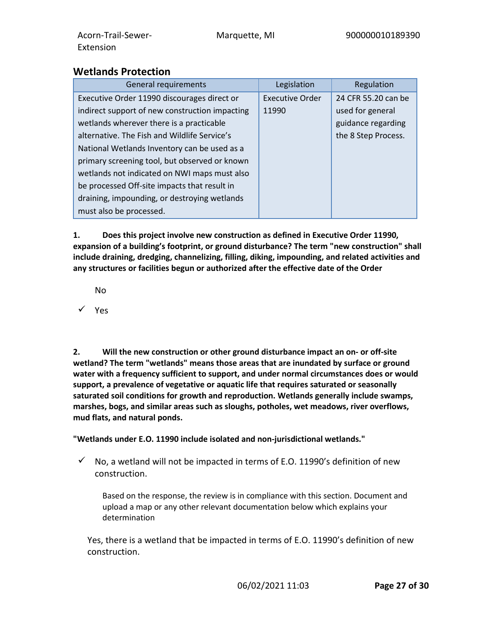# **Wetlands Protection**

| General requirements                           | Legislation            | Regulation          |
|------------------------------------------------|------------------------|---------------------|
| Executive Order 11990 discourages direct or    | <b>Executive Order</b> | 24 CFR 55.20 can be |
| indirect support of new construction impacting | 11990                  | used for general    |
| wetlands wherever there is a practicable       |                        | guidance regarding  |
| alternative. The Fish and Wildlife Service's   |                        | the 8 Step Process. |
| National Wetlands Inventory can be used as a   |                        |                     |
| primary screening tool, but observed or known  |                        |                     |
| wetlands not indicated on NWI maps must also   |                        |                     |
| be processed Off-site impacts that result in   |                        |                     |
| draining, impounding, or destroying wetlands   |                        |                     |
| must also be processed.                        |                        |                     |

**1. Does this project involve new construction as defined in Executive Order 11990, expansion of a building's footprint, or ground disturbance? The term "new construction" shall include draining, dredging, channelizing, filling, diking, impounding, and related activities and any structures or facilities begun or authorized after the effective date of the Order**

No

 $\checkmark$  Yes

**2. Will the new construction or other ground disturbance impact an on- or off-site wetland? The term "wetlands" means those areas that are inundated by surface or ground water with a frequency sufficient to support, and under normal circumstances does or would support, a prevalence of vegetative or aquatic life that requires saturated or seasonally saturated soil conditions for growth and reproduction. Wetlands generally include swamps, marshes, bogs, and similar areas such as sloughs, potholes, wet meadows, river overflows, mud flats, and natural ponds.**

**"Wetlands under E.O. 11990 include isolated and non-jurisdictional wetlands."**

 $\checkmark$  No, a wetland will not be impacted in terms of E.O. 11990's definition of new construction.

Based on the response, the review is in compliance with this section. Document and upload a map or any other relevant documentation below which explains your determination

Yes, there is a wetland that be impacted in terms of E.O. 11990's definition of new construction.

06/02/2021 11:03 **Page 27 of 30**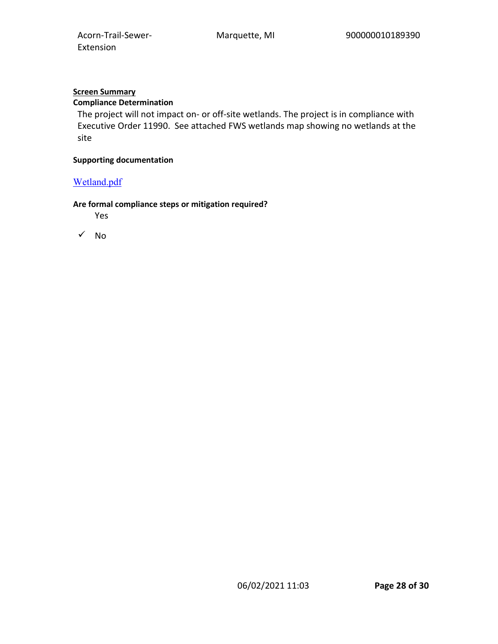## **Screen Summary**

## **Compliance Determination**

The project will not impact on- or off-site wetlands. The project is in compliance with Executive Order 11990. See attached FWS wetlands map showing no wetlands at the site

#### **Supporting documentation**

## [Wetland.pdf](https://heros.hud.gov/heros/faces/downloadFile.xhtml?erUploadId=900000011003629)

#### **Are formal compliance steps or mitigation required?**

Yes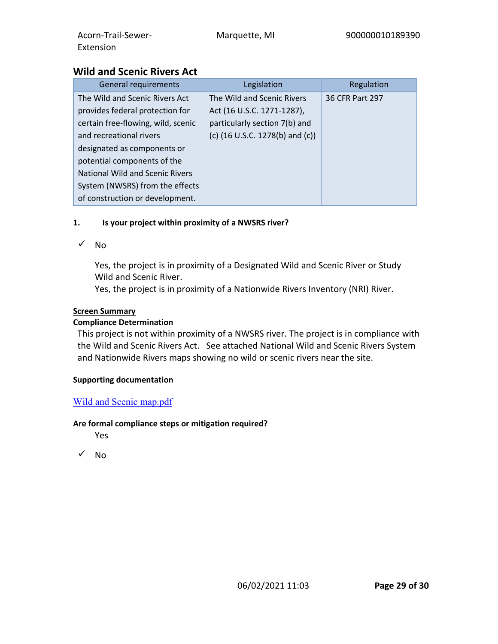#### **Wild and Scenic Rivers Act** General requirements and the sequence of the sequence of the Regulation The Wild and Scenic Rivers Act provides federal protection for certain free-flowing, wild, scenic and recreational rivers designated as components or potential components of the National Wild and Scenic Rivers System (NWSRS) from the effects of construction or development. The Wild and Scenic Rivers Act (16 U.S.C. 1271-1287), particularly section 7(b) and (c) (16 U.S.C. 1278(b) and (c)) 36 CFR Part 297

## **1. Is your project within proximity of a NWSRS river?**

 $\sqrt{N}$ 

Yes, the project is in proximity of a Designated Wild and Scenic River or Study Wild and Scenic River.

Yes, the project is in proximity of a Nationwide Rivers Inventory (NRI) River.

# **Screen Summary**

# **Compliance Determination**

This project is not within proximity of a NWSRS river. The project is in compliance with the Wild and Scenic Rivers Act. See attached National Wild and Scenic Rivers System and Nationwide Rivers maps showing no wild or scenic rivers near the site.

## **Supporting documentation**

# [Wild and Scenic map.pdf](https://heros.hud.gov/heros/faces/downloadFile.xhtml?erUploadId=900000011003730)

## **Are formal compliance steps or mitigation required?**

Yes

 $\sqrt{N_0}$